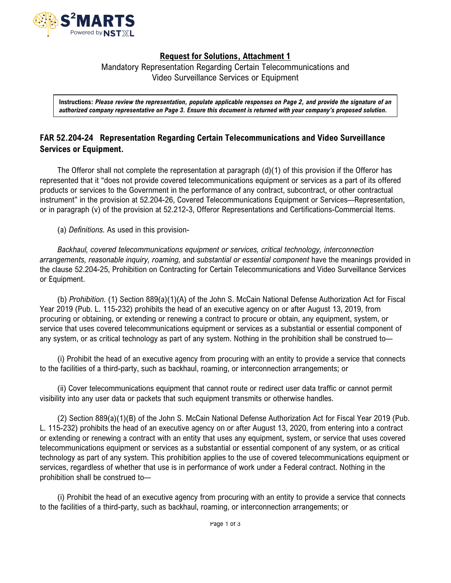

## **Request for Solutions, Attachment 1**

Mandatory Representation Regarding Certain Telecommunications and Video Surveillance Services or Equipment

**Instructions:** *Please review the representation, populate applicable responses on Page 2, and provide the signature of an authorized company representative on Page 3. Ensure this document is returned with your company's proposed solution.* 

## **FAR 52.204-24 Representation Regarding Certain Telecommunications and Video Surveillance Services or Equipment.**

The Offeror shall not complete the representation at paragraph (d)(1) of this provision if the Offeror has represented that it "does not provide covered telecommunications equipment or services as a part of its offered products or services to the Government in the performance of any contract, subcontract, or other contractual instrument" in the provision at 52.204-26, Covered Telecommunications Equipment or Services—Representation, or in paragraph (v) of the provision at 52.212-3, Offeror Representations and Certifications-Commercial Items.

(a) *Definitions.* As used in this provision-

*Backhaul, covered telecommunications equipment or services, critical technology, interconnection arrangements, reasonable inquiry, roaming,* and *substantial or essential component* have the meanings provided in the clause 52.204-25, Prohibition on Contracting for Certain Telecommunications and Video Surveillance Services or Equipment.

(b) *Prohibition.* (1) Section 889(a)(1)(A) of the John S. McCain National Defense Authorization Act for Fiscal Year 2019 (Pub. L. 115-232) prohibits the head of an executive agency on or after August 13, 2019, from procuring or obtaining, or extending or renewing a contract to procure or obtain, any equipment, system, or service that uses covered telecommunications equipment or services as a substantial or essential component of any system, or as critical technology as part of any system. Nothing in the prohibition shall be construed to—

(i) Prohibit the head of an executive agency from procuring with an entity to provide a service that connects to the facilities of a third-party, such as backhaul, roaming, or interconnection arrangements; or

(ii) Cover telecommunications equipment that cannot route or redirect user data traffic or cannot permit visibility into any user data or packets that such equipment transmits or otherwise handles.

(2) Section 889(a)(1)(B) of the John S. McCain National Defense Authorization Act for Fiscal Year 2019 (Pub. L. 115-232) prohibits the head of an executive agency on or after August 13, 2020, from entering into a contract or extending or renewing a contract with an entity that uses any equipment, system, or service that uses covered telecommunications equipment or services as a substantial or essential component of any system, or as critical technology as part of any system. This prohibition applies to the use of covered telecommunications equipment or services, regardless of whether that use is in performance of work under a Federal contract. Nothing in the prohibition shall be construed to—

(i) Prohibit the head of an executive agency from procuring with an entity to provide a service that connects to the facilities of a third-party, such as backhaul, roaming, or interconnection arrangements; or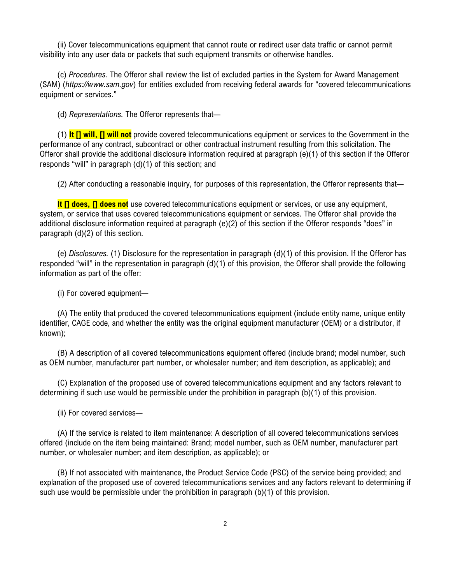(ii) Cover telecommunications equipment that cannot route or redirect user data traffic or cannot permit visibility into any user data or packets that such equipment transmits or otherwise handles.

(c) *Procedures.* The Offeror shall review the list of excluded parties in the System for Award Management (SAM) (*https://www.sam.gov*) for entities excluded from receiving federal awards for "covered telecommunications equipment or services."

(d) *Representations.* The Offeror represents that—

(1) **It [] will, [] will not** provide covered telecommunications equipment or services to the Government in the performance of any contract, subcontract or other contractual instrument resulting from this solicitation. The Offeror shall provide the additional disclosure information required at paragraph (e)(1) of this section if the Offeror responds "will" in paragraph (d)(1) of this section; and

(2) After conducting a reasonable inquiry, for purposes of this representation, the Offeror represents that—

**It [] does, [] does not** use covered telecommunications equipment or services, or use any equipment, system, or service that uses covered telecommunications equipment or services. The Offeror shall provide the additional disclosure information required at paragraph (e)(2) of this section if the Offeror responds "does" in paragraph (d)(2) of this section.

(e) *Disclosures.* (1) Disclosure for the representation in paragraph (d)(1) of this provision. If the Offeror has responded "will" in the representation in paragraph (d)(1) of this provision, the Offeror shall provide the following information as part of the offer:

(i) For covered equipment—

(A) The entity that produced the covered telecommunications equipment (include entity name, unique entity identifier, CAGE code, and whether the entity was the original equipment manufacturer (OEM) or a distributor, if known);

(B) A description of all covered telecommunications equipment offered (include brand; model number, such as OEM number, manufacturer part number, or wholesaler number; and item description, as applicable); and

(C) Explanation of the proposed use of covered telecommunications equipment and any factors relevant to determining if such use would be permissible under the prohibition in paragraph (b)(1) of this provision.

(ii) For covered services—

(A) If the service is related to item maintenance: A description of all covered telecommunications services offered (include on the item being maintained: Brand; model number, such as OEM number, manufacturer part number, or wholesaler number; and item description, as applicable); or

(B) If not associated with maintenance, the Product Service Code (PSC) of the service being provided; and explanation of the proposed use of covered telecommunications services and any factors relevant to determining if such use would be permissible under the prohibition in paragraph (b)(1) of this provision.